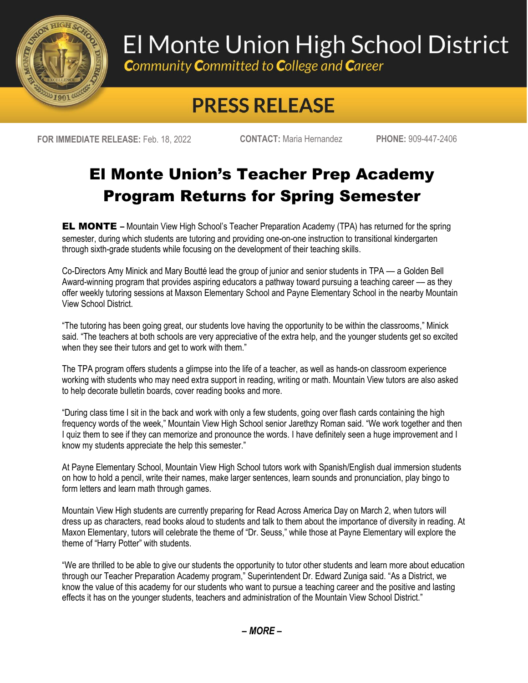

## El Monte Union High School District

**Community Committed to College and Career** 

## **PRESS RELEASE**

**FOR IMMEDIATE RELEASE:** Feb. 18, 2022 **CONTACT:** Maria Hernandez **PHONE:** 909-447-2406

## El Monte Union's Teacher Prep Academy Program Returns for Spring Semester

**EL MONTE** – Mountain View High School's Teacher Preparation Academy (TPA) has returned for the spring semester, during which students are tutoring and providing one-on-one instruction to transitional kindergarten through sixth-grade students while focusing on the development of their teaching skills.

Co-Directors Amy Minick and Mary Boutté lead the group of junior and senior students in TPA –– a Golden Bell Award-winning program that provides aspiring educators a pathway toward pursuing a teaching career –– as they offer weekly tutoring sessions at Maxson Elementary School and Payne Elementary School in the nearby Mountain View School District.

"The tutoring has been going great, our students love having the opportunity to be within the classrooms," Minick said. "The teachers at both schools are very appreciative of the extra help, and the younger students get so excited when they see their tutors and get to work with them."

The TPA program offers students a glimpse into the life of a teacher, as well as hands-on classroom experience working with students who may need extra support in reading, writing or math. Mountain View tutors are also asked to help decorate bulletin boards, cover reading books and more.

"During class time I sit in the back and work with only a few students, going over flash cards containing the high frequency words of the week," Mountain View High School senior Jarethzy Roman said. "We work together and then I quiz them to see if they can memorize and pronounce the words. I have definitely seen a huge improvement and I know my students appreciate the help this semester."

At Payne Elementary School, Mountain View High School tutors work with Spanish/English dual immersion students on how to hold a pencil, write their names, make larger sentences, learn sounds and pronunciation, play bingo to form letters and learn math through games.

Mountain View High students are currently preparing for Read Across America Day on March 2, when tutors will dress up as characters, read books aloud to students and talk to them about the importance of diversity in reading. At Maxon Elementary, tutors will celebrate the theme of "Dr. Seuss," while those at Payne Elementary will explore the theme of "Harry Potter" with students.

"We are thrilled to be able to give our students the opportunity to tutor other students and learn more about education through our Teacher Preparation Academy program," Superintendent Dr. Edward Zuniga said. "As a District, we know the value of this academy for our students who want to pursue a teaching career and the positive and lasting effects it has on the younger students, teachers and administration of the Mountain View School District."